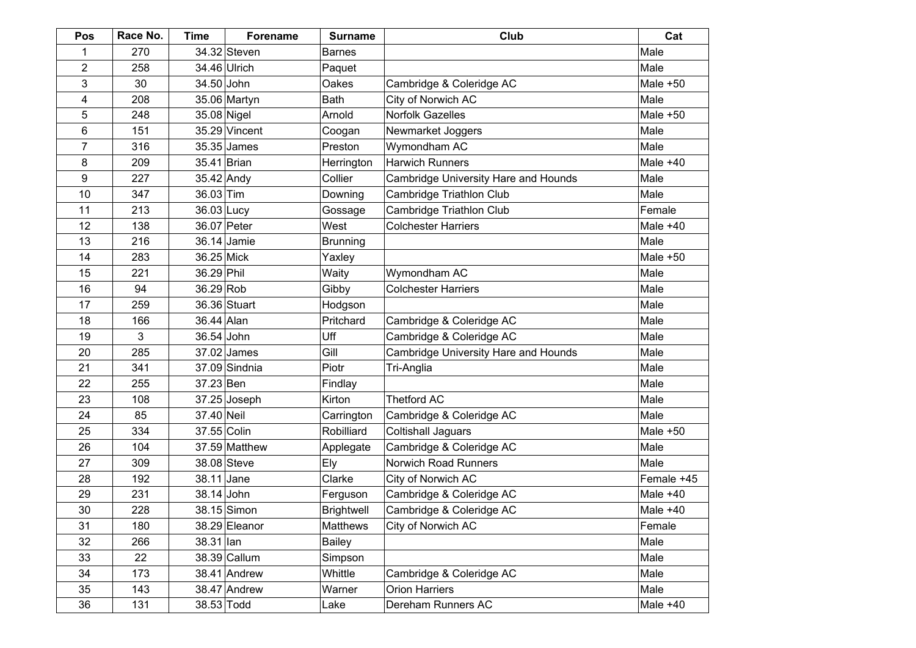| Pos | Race No. | Time         | Forename      | <b>Surname</b>    | Club                                 | Cat        |
|-----|----------|--------------|---------------|-------------------|--------------------------------------|------------|
| 1   | 270      |              | 34.32 Steven  | <b>Barnes</b>     |                                      | Male       |
| 2   | 258      |              | 34.46 Ulrich  | Paquet            |                                      | Male       |
| 3   | 30       | 34.50 John   |               | Oakes             | Cambridge & Coleridge AC             | Male $+50$ |
| 4   | 208      |              | 35.06 Martyn  | <b>Bath</b>       | City of Norwich AC                   | Male       |
| 5   | 248      | 35.08 Nigel  |               | Arnold            | Norfolk Gazelles                     | Male $+50$ |
| 6   | 151      |              | 35.29 Vincent | Coogan            | Newmarket Joggers                    | Male       |
| 7   | 316      |              | 35.35 James   | Preston           | Wymondham AC                         | Male       |
| 8   | 209      | 35.41 Brian  |               | Herrington        | <b>Harwich Runners</b>               | Male $+40$ |
| 9   | 227      | $35.42$ Andy |               | Collier           | Cambridge University Hare and Hounds | Male       |
| 10  | 347      | 36.03 Tim    |               | Downing           | Cambridge Triathlon Club             | Male       |
| 11  | 213      | 36.03 Lucy   |               | Gossage           | Cambridge Triathlon Club             | Female     |
| 12  | 138      | 36.07 Peter  |               | West              | <b>Colchester Harriers</b>           | Male $+40$ |
| 13  | 216      |              | 36.14 Jamie   | <b>Brunning</b>   |                                      | Male       |
| 14  | 283      | 36.25 Mick   |               | Yaxley            |                                      | Male $+50$ |
| 15  | 221      | 36.29 Phil   |               | Waity             | Wymondham AC                         | Male       |
| 16  | 94       | 36.29 Rob    |               | Gibby             | <b>Colchester Harriers</b>           | Male       |
| 17  | 259      |              | 36.36 Stuart  | Hodgson           |                                      | Male       |
| 18  | 166      | 36.44 Alan   |               | Pritchard         | Cambridge & Coleridge AC             | Male       |
| 19  | 3        | 36.54 John   |               | Uff               | Cambridge & Coleridge AC             | Male       |
| 20  | 285      |              | 37.02 James   | Gill              | Cambridge University Hare and Hounds | Male       |
| 21  | 341      |              | 37.09 Sindnia | Piotr             | Tri-Anglia                           | Male       |
| 22  | 255      | 37.23 Ben    |               | Findlay           |                                      | Male       |
| 23  | 108      |              | 37.25 Joseph  | Kirton            | <b>Thetford AC</b>                   | Male       |
| 24  | 85       | 37.40 Neil   |               | Carrington        | Cambridge & Coleridge AC             | Male       |
| 25  | 334      | 37.55 Colin  |               | Robilliard        | <b>Coltishall Jaguars</b>            | Male $+50$ |
| 26  | 104      |              | 37.59 Matthew | Applegate         | Cambridge & Coleridge AC             | Male       |
| 27  | 309      |              | 38.08 Steve   | Ely               | Norwich Road Runners                 | Male       |
| 28  | 192      | 38.11 Jane   |               | Clarke            | City of Norwich AC                   | Female +45 |
| 29  | 231      | 38.14 John   |               | Ferguson          | Cambridge & Coleridge AC             | Male $+40$ |
| 30  | 228      |              | 38.15 Simon   | <b>Brightwell</b> | Cambridge & Coleridge AC             | Male $+40$ |
| 31  | 180      |              | 38.29 Eleanor | Matthews          | City of Norwich AC                   | Female     |
| 32  | 266      | 38.31 Ian    |               | <b>Bailey</b>     |                                      | Male       |
| 33  | 22       |              | 38.39 Callum  | Simpson           |                                      | Male       |
| 34  | 173      |              | 38.41 Andrew  | Whittle           | Cambridge & Coleridge AC             | Male       |
| 35  | 143      |              | 38.47 Andrew  | Warner            | <b>Orion Harriers</b>                | Male       |
| 36  | 131      | 38.53 Todd   |               | Lake              | Dereham Runners AC                   | Male $+40$ |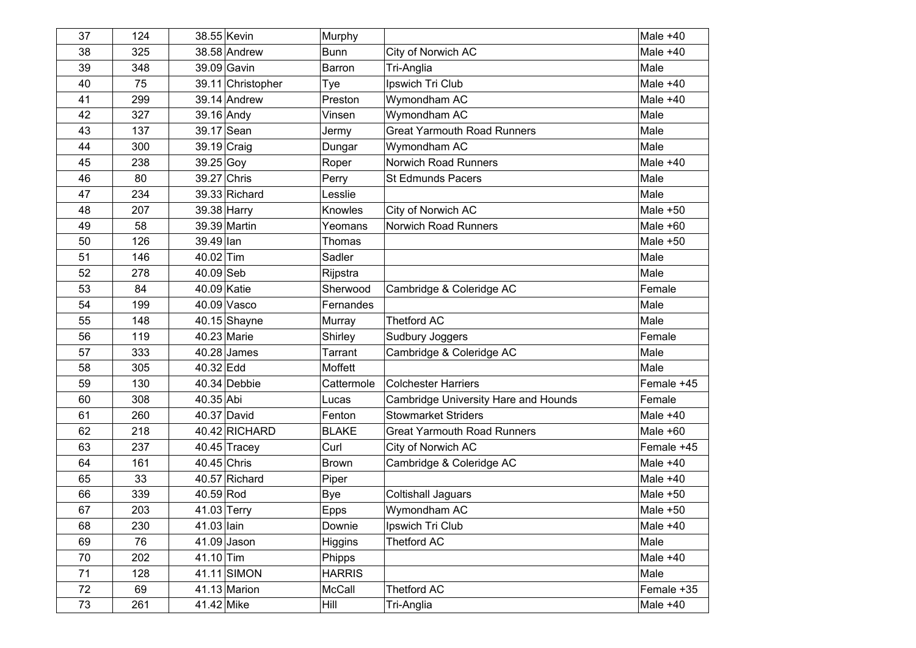| 37 | 124 |               | 38.55 Kevin       | Murphy         |                                      | Male $+40$ |
|----|-----|---------------|-------------------|----------------|--------------------------------------|------------|
| 38 | 325 |               | 38.58 Andrew      | <b>Bunn</b>    | City of Norwich AC                   | Male $+40$ |
| 39 | 348 |               | 39.09 Gavin       | Barron         | Tri-Anglia                           | Male       |
| 40 | 75  |               | 39.11 Christopher | Tye            | Ipswich Tri Club                     | Male $+40$ |
| 41 | 299 |               | 39.14 Andrew      | Preston        | Wymondham AC                         | Male $+40$ |
| 42 | 327 | 39.16 Andy    |                   | Vinsen         | Wymondham AC                         | Male       |
| 43 | 137 | 39.17 Sean    |                   | Jermy          | <b>Great Yarmouth Road Runners</b>   | Male       |
| 44 | 300 |               | 39.19 Craig       | Dungar         | Wymondham AC                         | Male       |
| 45 | 238 | 39.25 Goy     |                   | Roper          | Norwich Road Runners                 | Male $+40$ |
| 46 | 80  | 39.27 Chris   |                   | Perry          | <b>St Edmunds Pacers</b>             | Male       |
| 47 | 234 |               | 39.33 Richard     | Lesslie        |                                      | Male       |
| 48 | 207 |               | 39.38 Harry       | Knowles        | City of Norwich AC                   | Male $+50$ |
| 49 | 58  |               | 39.39 Martin      | Yeomans        | <b>Norwich Road Runners</b>          | Male $+60$ |
| 50 | 126 | 39.49 lan     |                   | Thomas         |                                      | Male $+50$ |
| 51 | 146 | 40.02 Tim     |                   | Sadler         |                                      | Male       |
| 52 | 278 | 40.09 Seb     |                   | Rijpstra       |                                      | Male       |
| 53 | 84  | 40.09 Katie   |                   | Sherwood       | Cambridge & Coleridge AC             | Female     |
| 54 | 199 |               | 40.09 Vasco       | Fernandes      |                                      | Male       |
| 55 | 148 |               | $40.15$ Shayne    | Murray         | <b>Thetford AC</b>                   | Male       |
| 56 | 119 |               | 40.23 Marie       | Shirley        | Sudbury Joggers                      | Female     |
| 57 | 333 |               | $40.28$ James     | <b>Tarrant</b> | Cambridge & Coleridge AC             | Male       |
| 58 | 305 | 40.32 Edd     |                   | Moffett        |                                      | Male       |
| 59 | 130 |               | 40.34 Debbie      | Cattermole     | <b>Colchester Harriers</b>           | Female +45 |
| 60 | 308 | 40.35 Abi     |                   | Lucas          | Cambridge University Hare and Hounds | Female     |
| 61 | 260 |               | 40.37 David       | Fenton         | <b>Stowmarket Striders</b>           | Male $+40$ |
| 62 | 218 |               | 40.42 RICHARD     | <b>BLAKE</b>   | <b>Great Yarmouth Road Runners</b>   | Male $+60$ |
| 63 | 237 |               | $40.45$ Tracey    | Curl           | City of Norwich AC                   | Female +45 |
| 64 | 161 | $40.45$ Chris |                   | <b>Brown</b>   | Cambridge & Coleridge AC             | Male $+40$ |
| 65 | 33  |               | 40.57 Richard     | Piper          |                                      | Male $+40$ |
| 66 | 339 | 40.59 Rod     |                   | <b>Bye</b>     | Coltishall Jaguars                   | Male $+50$ |
| 67 | 203 | 41.03 Terry   |                   | <b>Epps</b>    | Wymondham AC                         | Male $+50$ |
| 68 | 230 | 41.03 lain    |                   | Downie         | Ipswich Tri Club                     | Male $+40$ |
| 69 | 76  |               | $41.09$ Jason     | Higgins        | <b>Thetford AC</b>                   | Male       |
| 70 | 202 | 41.10 Tim     |                   | Phipps         |                                      | Male $+40$ |
| 71 | 128 |               | 41.11 SIMON       | <b>HARRIS</b>  |                                      | Male       |
| 72 | 69  |               | 41.13 Marion      | McCall         | <b>Thetford AC</b>                   | Female +35 |
| 73 | 261 | 41.42 Mike    |                   | Hill           | Tri-Anglia                           | Male $+40$ |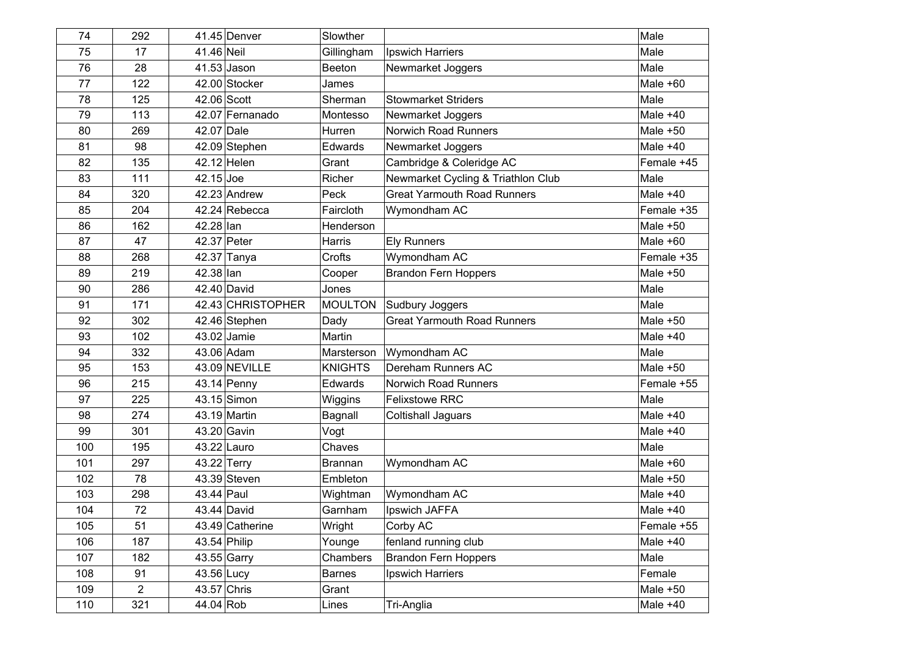| 74  | 292            |             | 41.45 Denver      | Slowther       |                                    | Male       |
|-----|----------------|-------------|-------------------|----------------|------------------------------------|------------|
| 75  | 17             | 41.46 Neil  |                   | Gillingham     | Ipswich Harriers                   | Male       |
| 76  | 28             |             | $41.53$ Jason     | Beeton         | Newmarket Joggers                  | Male       |
| 77  | 122            |             | 42.00 Stocker     | James          |                                    | Male $+60$ |
| 78  | 125            | 42.06 Scott |                   | Sherman        | <b>Stowmarket Striders</b>         | Male       |
| 79  | 113            |             | 42.07 Fernanado   | Montesso       | Newmarket Joggers                  | Male $+40$ |
| 80  | 269            | 42.07 Dale  |                   | Hurren         | Norwich Road Runners               | Male $+50$ |
| 81  | 98             |             | 42.09 Stephen     | Edwards        | Newmarket Joggers                  | Male $+40$ |
| 82  | 135            |             | 42.12 Helen       | Grant          | Cambridge & Coleridge AC           | Female +45 |
| 83  | 111            | $42.15$ Joe |                   | Richer         | Newmarket Cycling & Triathlon Club | Male       |
| 84  | 320            |             | 42.23 Andrew      | Peck           | <b>Great Yarmouth Road Runners</b> | Male $+40$ |
| 85  | 204            |             | 42.24 Rebecca     | Faircloth      | Wymondham AC                       | Female +35 |
| 86  | 162            | 42.28 lan   |                   | Henderson      |                                    | Male $+50$ |
| 87  | 47             |             | 42.37 Peter       | <b>Harris</b>  | <b>Ely Runners</b>                 | Male $+60$ |
| 88  | 268            |             | 42.37 Tanya       | Crofts         | Wymondham AC                       | Female +35 |
| 89  | 219            | 42.38 lan   |                   | Cooper         | <b>Brandon Fern Hoppers</b>        | Male $+50$ |
| 90  | 286            |             | 42.40 David       | Jones          |                                    | Male       |
| 91  | 171            |             | 42.43 CHRISTOPHER | <b>MOULTON</b> | Sudbury Joggers                    | Male       |
| 92  | 302            |             | 42.46 Stephen     | Dady           | <b>Great Yarmouth Road Runners</b> | Male $+50$ |
| 93  | 102            |             | 43.02 Jamie       | Martin         |                                    | Male $+40$ |
| 94  | 332            |             | 43.06 Adam        | Marsterson     | Wymondham AC                       | Male       |
| 95  | 153            |             | 43.09 NEVILLE     | <b>KNIGHTS</b> | Dereham Runners AC                 | Male $+50$ |
| 96  | 215            |             | $43.14$ Penny     | Edwards        | Norwich Road Runners               | Female +55 |
| 97  | 225            |             | 43.15 Simon       | Wiggins        | <b>Felixstowe RRC</b>              | Male       |
| 98  | 274            |             | 43.19 Martin      | Bagnall        | Coltishall Jaguars                 | Male $+40$ |
| 99  | 301            |             | 43.20 Gavin       | Vogt           |                                    | Male $+40$ |
| 100 | 195            |             | 43.22 Lauro       | Chaves         |                                    | Male       |
| 101 | 297            |             | 43.22 Terry       | <b>Brannan</b> | Wymondham AC                       | Male $+60$ |
| 102 | 78             |             | $43.39$ Steven    | Embleton       |                                    | Male $+50$ |
| 103 | 298            | 43.44 Paul  |                   | Wightman       | Wymondham AC                       | Male $+40$ |
| 104 | 72             |             | 43.44 David       | Garnham        | <b>Ipswich JAFFA</b>               | Male $+40$ |
| 105 | 51             |             | 43.49 Catherine   | Wright         | Corby AC                           | Female +55 |
| 106 | 187            |             | 43.54 Philip      | Younge         | fenland running club               | Male $+40$ |
| 107 | 182            |             | 43.55 Garry       | Chambers       | <b>Brandon Fern Hoppers</b>        | Male       |
| 108 | 91             | 43.56 Lucy  |                   | <b>Barnes</b>  | Ipswich Harriers                   | Female     |
| 109 | $\overline{c}$ |             | 43.57 Chris       | Grant          |                                    | Male $+50$ |
| 110 | 321            | 44.04 Rob   |                   | Lines          | Tri-Anglia                         | Male $+40$ |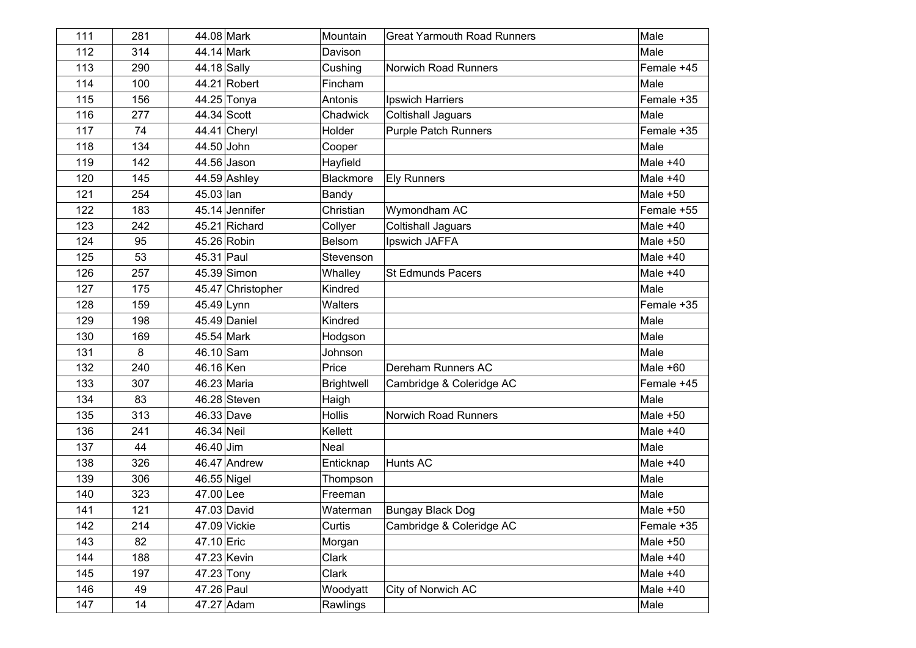| 111 | 281 | 44.08 Mark   |                   | Mountain          | <b>Great Yarmouth Road Runners</b> | Male       |
|-----|-----|--------------|-------------------|-------------------|------------------------------------|------------|
| 112 | 314 | 44.14 Mark   |                   | Davison           |                                    | Male       |
| 113 | 290 | 44.18 Sally  |                   | Cushing           | <b>Norwich Road Runners</b>        | Female +45 |
| 114 | 100 |              | 44.21 Robert      | Fincham           |                                    | Male       |
| 115 | 156 |              | 44.25 Tonya       | Antonis           | Ipswich Harriers                   | Female +35 |
| 116 | 277 | 44.34 Scott  |                   | Chadwick          | <b>Coltishall Jaguars</b>          | Male       |
| 117 | 74  |              | 44.41 Cheryl      | Holder            | <b>Purple Patch Runners</b>        | Female +35 |
| 118 | 134 | 44.50 John   |                   | Cooper            |                                    | Male       |
| 119 | 142 | 44.56 Jason  |                   | Hayfield          |                                    | Male $+40$ |
| 120 | 145 |              | 44.59 Ashley      | <b>Blackmore</b>  | <b>Ely Runners</b>                 | Male $+40$ |
| 121 | 254 | 45.03 lan    |                   | Bandy             |                                    | Male $+50$ |
| 122 | 183 |              | 45.14 Jennifer    | Christian         | Wymondham AC                       | Female +55 |
| 123 | 242 |              | 45.21 Richard     | Collyer           | <b>Coltishall Jaguars</b>          | Male $+40$ |
| 124 | 95  | 45.26 Robin  |                   | Belsom            | Ipswich JAFFA                      | Male $+50$ |
| 125 | 53  | 45.31 Paul   |                   | Stevenson         |                                    | Male $+40$ |
| 126 | 257 |              | 45.39 Simon       | Whalley           | <b>St Edmunds Pacers</b>           | Male $+40$ |
| 127 | 175 |              | 45.47 Christopher | Kindred           |                                    | Male       |
| 128 | 159 | 45.49 Lynn   |                   | <b>Walters</b>    |                                    | Female +35 |
| 129 | 198 |              | $45.49$ Daniel    | Kindred           |                                    | Male       |
| 130 | 169 | 45.54 Mark   |                   | Hodgson           |                                    | Male       |
| 131 | 8   | 46.10 Sam    |                   | Johnson           |                                    | Male       |
| 132 | 240 | 46.16 Ken    |                   | Price             | Dereham Runners AC                 | Male +60   |
| 133 | 307 | 46.23 Maria  |                   | <b>Brightwell</b> | Cambridge & Coleridge AC           | Female +45 |
| 134 | 83  |              | $46.28$ Steven    | Haigh             |                                    | Male       |
| 135 | 313 | 46.33 Dave   |                   | <b>Hollis</b>     | Norwich Road Runners               | Male $+50$ |
| 136 | 241 | 46.34 Neil   |                   | Kellett           |                                    | Male $+40$ |
| 137 | 44  | 46.40 Jim    |                   | Neal              |                                    | Male       |
| 138 | 326 |              | 46.47 Andrew      | Enticknap         | Hunts AC                           | Male $+40$ |
| 139 | 306 | 46.55 Nigel  |                   | Thompson          |                                    | Male       |
| 140 | 323 | 47.00 Lee    |                   | Freeman           |                                    | Male       |
| 141 | 121 | 47.03 David  |                   | Waterman          | Bungay Black Dog                   | Male $+50$ |
| 142 | 214 | 47.09 Vickie |                   | Curtis            | Cambridge & Coleridge AC           | Female +35 |
| 143 | 82  | 47.10 Eric   |                   | Morgan            |                                    | Male $+50$ |
| 144 | 188 | 47.23 Kevin  |                   | Clark             |                                    | Male $+40$ |
| 145 | 197 | 47.23 Tony   |                   | Clark             |                                    | Male $+40$ |
| 146 | 49  | 47.26 Paul   |                   | Woodyatt          | City of Norwich AC                 | Male $+40$ |
| 147 | 14  | 47.27 Adam   |                   | Rawlings          |                                    | Male       |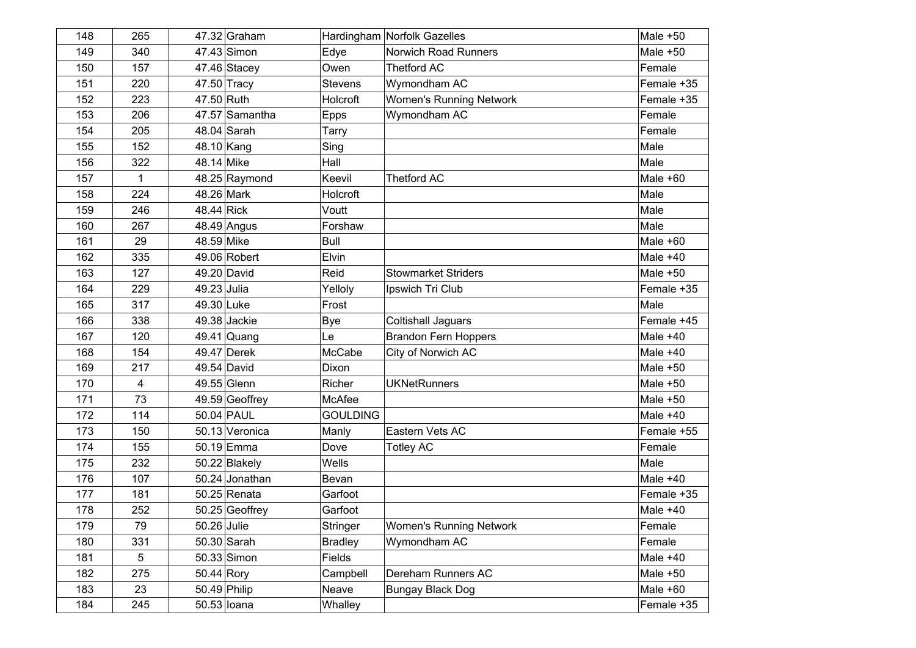| 148 | 265 |             | $47.32$ Graham  |                 | Hardingham Norfolk Gazelles    | Male $+50$ |
|-----|-----|-------------|-----------------|-----------------|--------------------------------|------------|
| 149 | 340 |             | 47.43 Simon     | Edye            | <b>Norwich Road Runners</b>    | Male $+50$ |
| 150 | 157 |             | $47.46$ Stacey  | Owen            | <b>Thetford AC</b>             | Female     |
| 151 | 220 |             | 47.50 Tracy     | <b>Stevens</b>  | Wymondham AC                   | Female +35 |
| 152 | 223 | 47.50 Ruth  |                 | Holcroft        | <b>Women's Running Network</b> | Female +35 |
| 153 | 206 |             | 47.57 Samantha  | Epps            | Wymondham AC                   | Female     |
| 154 | 205 |             | 48.04 Sarah     | Tarry           |                                | Female     |
| 155 | 152 | 48.10 Kang  |                 | Sing            |                                | Male       |
| 156 | 322 | 48.14 Mike  |                 | Hall            |                                | Male       |
| 157 | 1   |             | 48.25 Raymond   | Keevil          | <b>Thetford AC</b>             | Male $+60$ |
| 158 | 224 | 48.26 Mark  |                 | Holcroft        |                                | Male       |
| 159 | 246 | 48.44 Rick  |                 | Voutt           |                                | Male       |
| 160 | 267 |             | 48.49 Angus     | Forshaw         |                                | Male       |
| 161 | 29  | 48.59 Mike  |                 | <b>Bull</b>     |                                | Male $+60$ |
| 162 | 335 |             | 49.06 Robert    | Elvin           |                                | Male $+40$ |
| 163 | 127 |             | 49.20 David     | Reid            | <b>Stowmarket Striders</b>     | Male $+50$ |
| 164 | 229 | 49.23 Julia |                 | Yelloly         | Ipswich Tri Club               | Female +35 |
| 165 | 317 | 49.30 Luke  |                 | Frost           |                                | Male       |
| 166 | 338 |             | 49.38 Jackie    | <b>Bye</b>      | <b>Coltishall Jaguars</b>      | Female +45 |
| 167 | 120 |             | 49.41 Quang     | Le              | <b>Brandon Fern Hoppers</b>    | Male $+40$ |
| 168 | 154 |             | 49.47 Derek     | McCabe          | City of Norwich AC             | Male $+40$ |
| 169 | 217 |             | 49.54 David     | Dixon           |                                | Male $+50$ |
| 170 | 4   |             | 49.55 Glenn     | Richer          | <b>UKNetRunners</b>            | Male $+50$ |
| 171 | 73  |             | 49.59 Geoffrey  | <b>McAfee</b>   |                                | Male $+50$ |
| 172 | 114 |             | 50.04 PAUL      | <b>GOULDING</b> |                                | Male $+40$ |
| 173 | 150 |             | 50.13 Veronica  | Manly           | Eastern Vets AC                | Female +55 |
| 174 | 155 |             | 50.19 Emma      | Dove            | <b>Totley AC</b>               | Female     |
| 175 | 232 |             | $50.22$ Blakely | Wells           |                                | Male       |
| 176 | 107 |             | 50.24 Jonathan  | Bevan           |                                | Male $+40$ |
| 177 | 181 |             | 50.25 Renata    | Garfoot         |                                | Female +35 |
| 178 | 252 |             | 50.25 Geoffrey  | Garfoot         |                                | Male $+40$ |
| 179 | 79  | 50.26 Julie |                 | Stringer        | <b>Women's Running Network</b> | Female     |
| 180 | 331 |             | 50.30 Sarah     | <b>Bradley</b>  | Wymondham AC                   | Female     |
| 181 | 5   |             | 50.33 Simon     | Fields          |                                | Male $+40$ |
| 182 | 275 | 50.44 Rory  |                 | Campbell        | Dereham Runners AC             | Male $+50$ |
| 183 | 23  |             | 50.49 Philip    | Neave           | <b>Bungay Black Dog</b>        | Male $+60$ |
| 184 | 245 |             | 50.53 loana     | Whalley         |                                | Female +35 |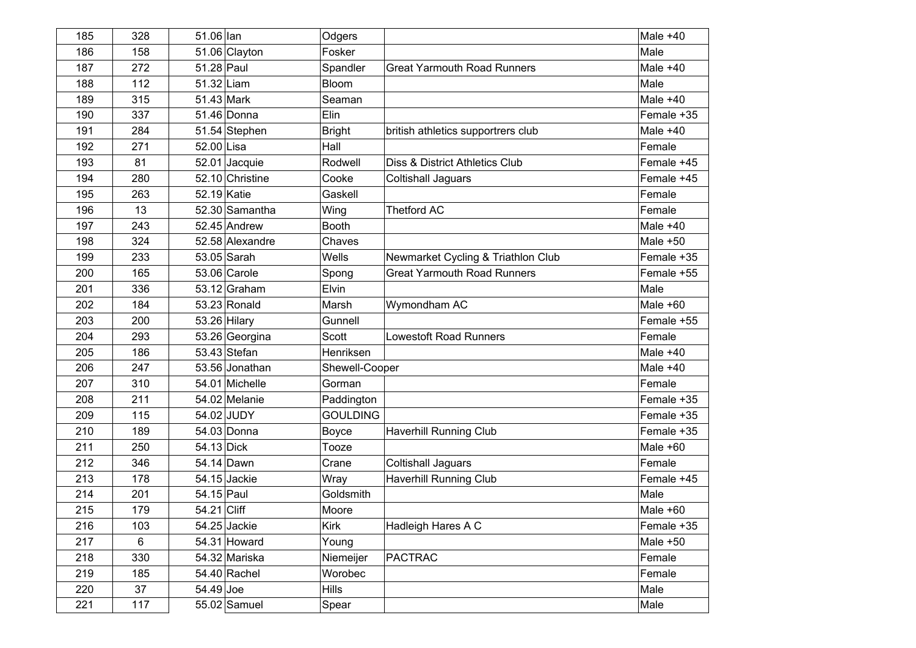| 185 | 328 | 51.06 lan   |                 | Odgers          |                                    | Male $+40$ |
|-----|-----|-------------|-----------------|-----------------|------------------------------------|------------|
| 186 | 158 |             | 51.06 Clayton   | Fosker          |                                    | Male       |
| 187 | 272 | 51.28 Paul  |                 | Spandler        | <b>Great Yarmouth Road Runners</b> | Male $+40$ |
| 188 | 112 | 51.32 Liam  |                 | Bloom           |                                    | Male       |
| 189 | 315 | 51.43 Mark  |                 | Seaman          |                                    | Male $+40$ |
| 190 | 337 |             | 51.46 Donna     | Elin            |                                    | Female +35 |
| 191 | 284 |             | 51.54 Stephen   | <b>Bright</b>   | british athletics supportrers club | Male $+40$ |
| 192 | 271 | 52.00 Lisa  |                 | Hall            |                                    | Female     |
| 193 | 81  |             | 52.01 Jacquie   | Rodwell         | Diss & District Athletics Club     | Female +45 |
| 194 | 280 |             | 52.10 Christine | Cooke           | <b>Coltishall Jaguars</b>          | Female +45 |
| 195 | 263 | 52.19 Katie |                 | Gaskell         |                                    | Female     |
| 196 | 13  |             | 52.30 Samantha  | Wing            | <b>Thetford AC</b>                 | Female     |
| 197 | 243 |             | 52.45 Andrew    | <b>Booth</b>    |                                    | Male $+40$ |
| 198 | 324 |             | 52.58 Alexandre | Chaves          |                                    | Male $+50$ |
| 199 | 233 |             | $53.05$ Sarah   | Wells           | Newmarket Cycling & Triathlon Club | Female +35 |
| 200 | 165 |             | 53.06 Carole    | Spong           | <b>Great Yarmouth Road Runners</b> | Female +55 |
| 201 | 336 |             | $53.12$ Graham  | Elvin           |                                    | Male       |
| 202 | 184 |             | 53.23 Ronald    | Marsh           | Wymondham AC                       | Male $+60$ |
| 203 | 200 |             | 53.26 Hilary    | Gunnell         |                                    | Female +55 |
| 204 | 293 |             | 53.26 Georgina  | Scott           | <b>Lowestoft Road Runners</b>      | Female     |
| 205 | 186 |             | 53.43 Stefan    | Henriksen       |                                    | Male $+40$ |
| 206 | 247 |             | 53.56 Jonathan  | Shewell-Cooper  |                                    | Male $+40$ |
| 207 | 310 |             | 54.01 Michelle  | Gorman          |                                    | Female     |
| 208 | 211 |             | 54.02 Melanie   | Paddington      |                                    | Female +35 |
| 209 | 115 |             | 54.02 JUDY      | <b>GOULDING</b> |                                    | Female +35 |
| 210 | 189 |             | 54.03 Donna     | <b>Boyce</b>    | <b>Haverhill Running Club</b>      | Female +35 |
| 211 | 250 | 54.13 Dick  |                 | Tooze           |                                    | Male $+60$ |
| 212 | 346 |             | 54.14 Dawn      | Crane           | <b>Coltishall Jaguars</b>          | Female     |
| 213 | 178 |             | 54.15 Jackie    | Wray            | <b>Haverhill Running Club</b>      | Female +45 |
| 214 | 201 | 54.15 Paul  |                 | Goldsmith       |                                    | Male       |
| 215 | 179 | 54.21 Cliff |                 | Moore           |                                    | Male $+60$ |
| 216 | 103 |             | 54.25 Jackie    | Kirk            | Hadleigh Hares A C                 | Female +35 |
| 217 | 6   |             | 54.31 Howard    | Young           |                                    | Male $+50$ |
| 218 | 330 |             | 54.32 Mariska   | Niemeijer       | <b>PACTRAC</b>                     | Female     |
| 219 | 185 |             | 54.40 Rachel    | Worobec         |                                    | Female     |
| 220 | 37  | 54.49 Joe   |                 | <b>Hills</b>    |                                    | Male       |
| 221 | 117 |             | $55.02$ Samuel  | Spear           |                                    | Male       |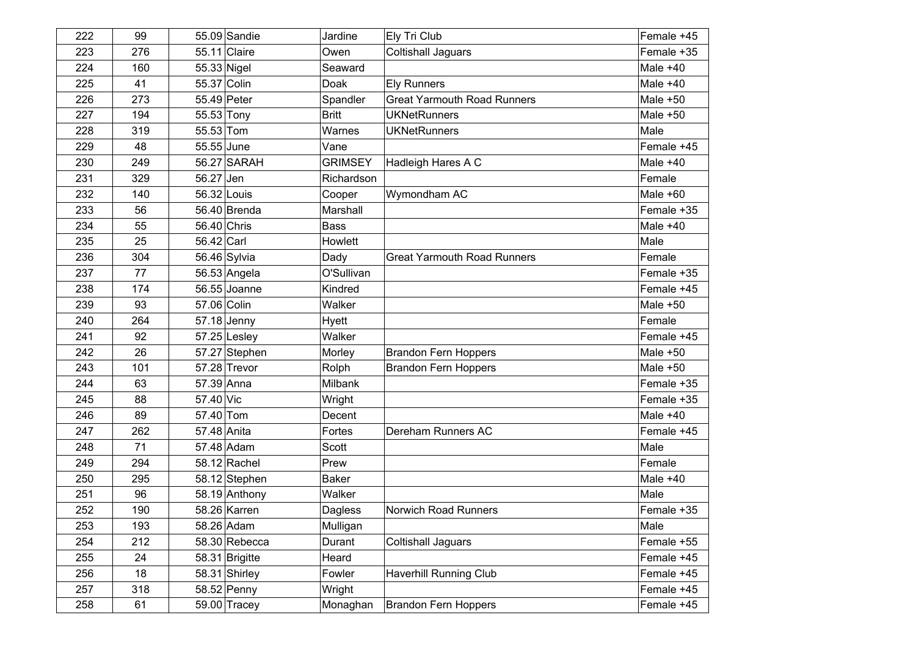| 222 | 99  |              | 55.09 Sandie   | Jardine        | Ely Tri Club                       | Female +45 |
|-----|-----|--------------|----------------|----------------|------------------------------------|------------|
| 223 | 276 | 55.11 Claire |                | Owen           | <b>Coltishall Jaguars</b>          | Female +35 |
| 224 | 160 | 55.33 Nigel  |                | Seaward        |                                    | Male $+40$ |
| 225 | 41  | 55.37 Colin  |                | Doak           | <b>Ely Runners</b>                 | Male $+40$ |
| 226 | 273 | 55.49 Peter  |                | Spandler       | <b>Great Yarmouth Road Runners</b> | Male $+50$ |
| 227 | 194 | 55.53 Tony   |                | <b>Britt</b>   | <b>UKNetRunners</b>                | Male $+50$ |
| 228 | 319 | 55.53 Tom    |                | Warnes         | <b>UKNetRunners</b>                | Male       |
| 229 | 48  | 55.55 June   |                | Vane           |                                    | Female +45 |
| 230 | 249 |              | 56.27 SARAH    | <b>GRIMSEY</b> | Hadleigh Hares A C                 | Male $+40$ |
| 231 | 329 | 56.27 Jen    |                | Richardson     |                                    | Female     |
| 232 | 140 | 56.32 Louis  |                | Cooper         | Wymondham AC                       | Male $+60$ |
| 233 | 56  |              | 56.40 Brenda   | Marshall       |                                    | Female +35 |
| 234 | 55  | 56.40 Chris  |                | <b>Bass</b>    |                                    | Male $+40$ |
| 235 | 25  | 56.42 Carl   |                | Howlett        |                                    | Male       |
| 236 | 304 |              | 56.46 Sylvia   | Dady           | <b>Great Yarmouth Road Runners</b> | Female     |
| 237 | 77  |              | 56.53 Angela   | O'Sullivan     |                                    | Female +35 |
| 238 | 174 |              | 56.55 Joanne   | Kindred        |                                    | Female +45 |
| 239 | 93  | 57.06 Colin  |                | Walker         |                                    | Male $+50$ |
| 240 | 264 | 57.18 Jenny  |                | Hyett          |                                    | Female     |
| 241 | 92  |              | $57.25$ Lesley | Walker         |                                    | Female +45 |
| 242 | 26  |              | 57.27 Stephen  | Morley         | <b>Brandon Fern Hoppers</b>        | Male $+50$ |
| 243 | 101 |              | 57.28 Trevor   | Rolph          | <b>Brandon Fern Hoppers</b>        | Male $+50$ |
| 244 | 63  | 57.39 Anna   |                | Milbank        |                                    | Female +35 |
| 245 | 88  | 57.40 Vic    |                | Wright         |                                    | Female +35 |
| 246 | 89  | 57.40 Tom    |                | Decent         |                                    | Male $+40$ |
| 247 | 262 | 57.48 Anita  |                | Fortes         | Dereham Runners AC                 | Female +45 |
| 248 | 71  | 57.48 Adam   |                | Scott          |                                    | Male       |
| 249 | 294 |              | 58.12 Rachel   | Prew           |                                    | Female     |
| 250 | 295 |              | 58.12 Stephen  | <b>Baker</b>   |                                    | Male $+40$ |
| 251 | 96  |              | 58.19 Anthony  | Walker         |                                    | Male       |
| 252 | 190 |              | 58.26 Karren   | Dagless        | <b>Norwich Road Runners</b>        | Female +35 |
| 253 | 193 |              | 58.26 Adam     | Mulligan       |                                    | Male       |
| 254 | 212 |              | 58.30 Rebecca  | Durant         | <b>Coltishall Jaguars</b>          | Female +55 |
| 255 | 24  |              | 58.31 Brigitte | Heard          |                                    | Female +45 |
| 256 | 18  |              | 58.31 Shirley  | Fowler         | <b>Haverhill Running Club</b>      | Female +45 |
| 257 | 318 |              | 58.52 Penny    | Wright         |                                    | Female +45 |
| 258 | 61  |              | 59.00 Tracey   | Monaghan       | <b>Brandon Fern Hoppers</b>        | Female +45 |